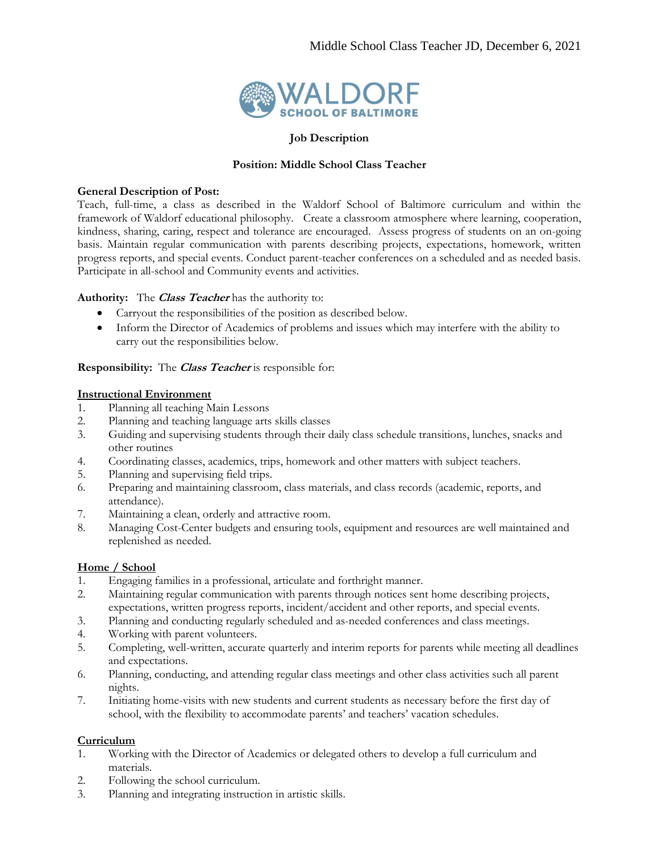

#### **Job Description**

#### **Position: Middle School Class Teacher**

#### **General Description of Post:**

Teach, full-time, a class as described in the Waldorf School of Baltimore curriculum and within the framework of Waldorf educational philosophy. Create a classroom atmosphere where learning, cooperation, kindness, sharing, caring, respect and tolerance are encouraged. Assess progress of students on an on-going basis. Maintain regular communication with parents describing projects, expectations, homework, written progress reports, and special events. Conduct parent-teacher conferences on a scheduled and as needed basis. Participate in all-school and Community events and activities.

## **Authority:** The **Class Teacher** has the authority to:

- Carryout the responsibilities of the position as described below.
- Inform the Director of Academics of problems and issues which may interfere with the ability to carry out the responsibilities below.

## **Responsibility:** The **Class Teacher** is responsible for:

#### **Instructional Environment**

- 1. Planning all teaching Main Lessons
- 2. Planning and teaching language arts skills classes
- 3. Guiding and supervising students through their daily class schedule transitions, lunches, snacks and other routines
- 4. Coordinating classes, academics, trips, homework and other matters with subject teachers.
- 5. Planning and supervising field trips.
- 6. Preparing and maintaining classroom, class materials, and class records (academic, reports, and attendance).
- 7. Maintaining a clean, orderly and attractive room.
- 8. Managing Cost-Center budgets and ensuring tools, equipment and resources are well maintained and replenished as needed.

## **Home / School**

- 1. Engaging families in a professional, articulate and forthright manner.
- 2. Maintaining regular communication with parents through notices sent home describing projects, expectations, written progress reports, incident/accident and other reports, and special events.
- 3. Planning and conducting regularly scheduled and as-needed conferences and class meetings.
- 4. Working with parent volunteers.
- 5. Completing, well-written, accurate quarterly and interim reports for parents while meeting all deadlines and expectations.
- 6. Planning, conducting, and attending regular class meetings and other class activities such all parent nights.
- 7. Initiating home-visits with new students and current students as necessary before the first day of school, with the flexibility to accommodate parents' and teachers' vacation schedules.

## **Curriculum**

- 1. Working with the Director of Academics or delegated others to develop a full curriculum and materials.
- 2. Following the school curriculum.
- 3. Planning and integrating instruction in artistic skills.